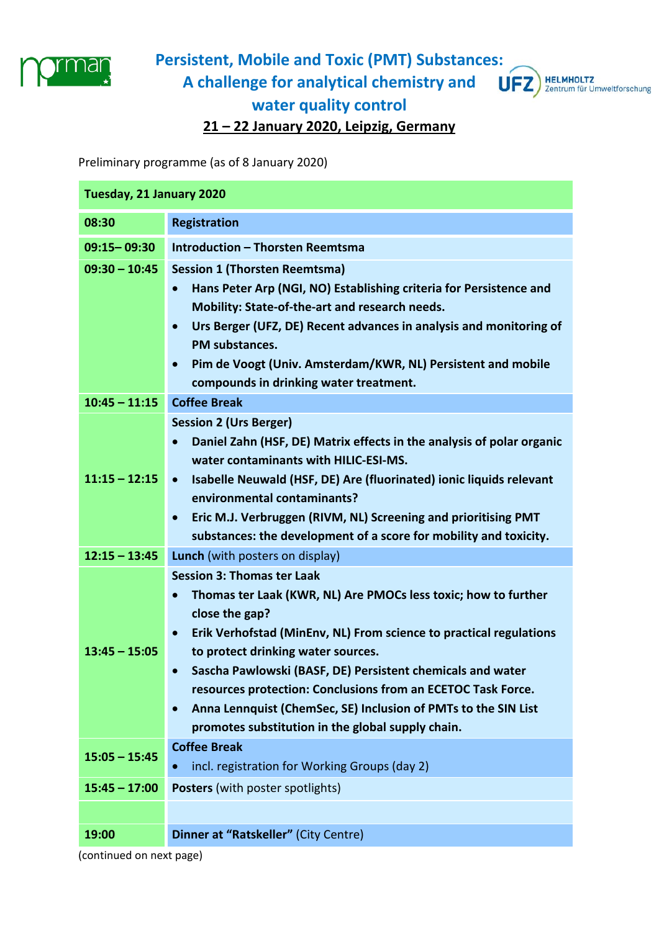

## **Persistent, Mobile and Toxic (PMT) Substances: A challenge for analytical chemistry and**



**water quality control** 

**21 – 22 January 2020, Leipzig, Germany** 

Preliminary programme (as of 8 January 2020)

| Tuesday, 21 January 2020 |                                                                                                                       |
|--------------------------|-----------------------------------------------------------------------------------------------------------------------|
| 08:30                    | <b>Registration</b>                                                                                                   |
| 09:15-09:30              | <b>Introduction - Thorsten Reemtsma</b>                                                                               |
| $09:30 - 10:45$          | <b>Session 1 (Thorsten Reemtsma)</b>                                                                                  |
|                          | Hans Peter Arp (NGI, NO) Establishing criteria for Persistence and<br>$\bullet$                                       |
|                          | Mobility: State-of-the-art and research needs.                                                                        |
|                          | Urs Berger (UFZ, DE) Recent advances in analysis and monitoring of<br>$\bullet$<br>PM substances.                     |
|                          | Pim de Voogt (Univ. Amsterdam/KWR, NL) Persistent and mobile<br>$\bullet$                                             |
|                          | compounds in drinking water treatment.                                                                                |
| $10:45 - 11:15$          | <b>Coffee Break</b>                                                                                                   |
|                          | <b>Session 2 (Urs Berger)</b>                                                                                         |
|                          | Daniel Zahn (HSF, DE) Matrix effects in the analysis of polar organic<br>$\bullet$                                    |
| $11:15 - 12:15$          | water contaminants with HILIC-ESI-MS.                                                                                 |
|                          | Isabelle Neuwald (HSF, DE) Are (fluorinated) ionic liquids relevant<br>$\bullet$<br>environmental contaminants?       |
|                          | • Eric M.J. Verbruggen (RIVM, NL) Screening and prioritising PMT                                                      |
|                          | substances: the development of a score for mobility and toxicity.                                                     |
| $12:15 - 13:45$          | <b>Lunch</b> (with posters on display)                                                                                |
|                          | <b>Session 3: Thomas ter Laak</b>                                                                                     |
|                          | Thomas ter Laak (KWR, NL) Are PMOCs less toxic; how to further<br>$\bullet$                                           |
|                          | close the gap?                                                                                                        |
| $13:45 - 15:05$          | Erik Verhofstad (MinEnv, NL) From science to practical regulations<br>$\bullet$<br>to protect drinking water sources. |
|                          | Sascha Pawlowski (BASF, DE) Persistent chemicals and water<br>$\bullet$                                               |
|                          | resources protection: Conclusions from an ECETOC Task Force.                                                          |
|                          | Anna Lennquist (ChemSec, SE) Inclusion of PMTs to the SIN List<br>$\bullet$                                           |
|                          | promotes substitution in the global supply chain.                                                                     |
| $15:05 - 15:45$          | <b>Coffee Break</b>                                                                                                   |
|                          | incl. registration for Working Groups (day 2)<br>$\bullet$                                                            |
| $15:45 - 17:00$          | <b>Posters</b> (with poster spotlights)                                                                               |
|                          |                                                                                                                       |
| 19:00                    | Dinner at "Ratskeller" (City Centre)                                                                                  |
|                          |                                                                                                                       |

(continued on next page)